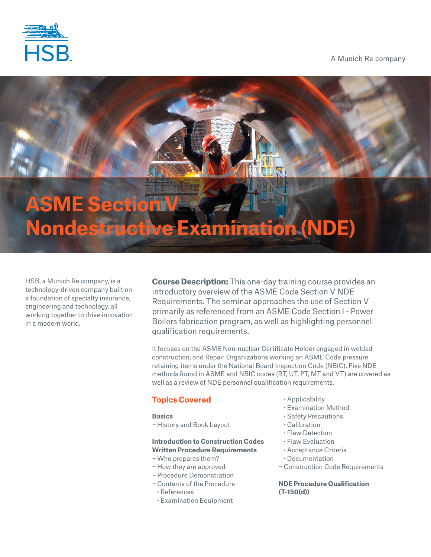

A Munich Re company

# **ASME Section V Nondestructive Examination (NDE)**

HSB, a Munich Re company, is a technology-driven company built on a foundation of specialty insurance, engineering and technology, all working together to drive innovation in a modern world.

**Course Description:** This one-day training course provides an introductory overview of the ASME Code Section V NDE Requirements. The seminar approaches the use of Section V primarily as referenced from an ASME Code Section I - Power Boilers fabrication program, as well as highlighting personnel qualification requirements.

It focuses on the ASME Non-nuclear Certificate Holder engaged in welded construction, and Repair Organizations working on ASME Code pressure retaining items under the National Board Inspection Code (NBIC). Five NDE methods found in ASME and NBIC codes (RT, UT, PT, MT and VT) are covered as well as a review of NDE personnel qualification requirements.

# **Topics Covered**

# **Basics**

− History and Book Layout

# **Introduction to Construction Codes Written Procedure Requirements**

- −Who prepares them?
- − How they are approved
- − Procedure Demonstration
- − Contents of the Procedure
- **·** References
- **·** Examination Equipment
- **·** Applicability
- **·** Examination Method
- **·** Safety Precautions
- **·** Calibration
- **·** Flaw Detection
- **·** Flaw Evaluation
- **·** Acceptance Criteria
- **·** Documentation
- − Construction Code Requirements

**NDE Procedure Qualification (T-150(d))**